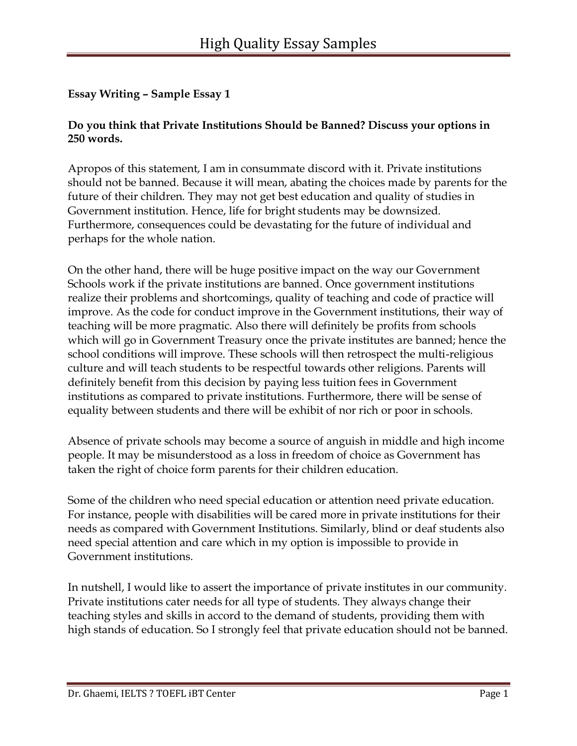#### **Do you think that Private Institutions Should be Banned? Discuss your options in 250 words.**

Apropos of this statement, I am in consummate discord with it. Private institutions should not be banned. Because it will mean, abating the choices made by parents for the future of their children. They may not get best education and quality of studies in Government institution. Hence, life for bright students may be downsized. Furthermore, consequences could be devastating for the future of individual and perhaps for the whole nation.

On the other hand, there will be huge positive impact on the way our Government Schools work if the private institutions are banned. Once government institutions realize their problems and shortcomings, quality of teaching and code of practice will improve. As the code for conduct improve in the Government institutions, their way of teaching will be more pragmatic. Also there will definitely be profits from schools which will go in Government Treasury once the private institutes are banned; hence the school conditions will improve. These schools will then retrospect the multi-religious culture and will teach students to be respectful towards other religions. Parents will definitely benefit from this decision by paying less tuition fees in Government institutions as compared to private institutions. Furthermore, there will be sense of equality between students and there will be exhibit of nor rich or poor in schools.

Absence of private schools may become a source of anguish in middle and high income people. It may be misunderstood as a loss in freedom of choice as Government has taken the right of choice form parents for their children education.

Some of the children who need special education or attention need private education. For instance, people with disabilities will be cared more in private institutions for their needs as compared with Government Institutions. Similarly, blind or deaf students also need special attention and care which in my option is impossible to provide in Government institutions.

In nutshell, I would like to assert the importance of private institutes in our community. Private institutions cater needs for all type of students. They always change their teaching styles and skills in accord to the demand of students, providing them with high stands of education. So I strongly feel that private education should not be banned.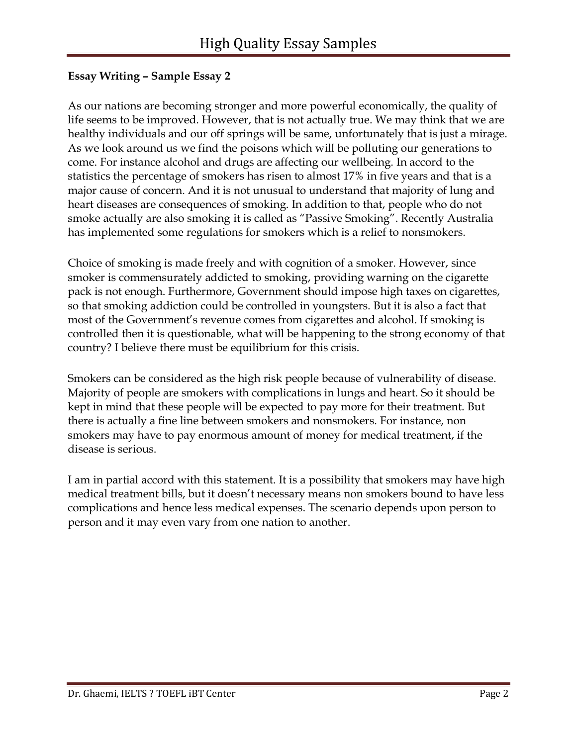As our nations are becoming stronger and more powerful economically, the quality of life seems to be improved. However, that is not actually true. We may think that we are healthy individuals and our off springs will be same, unfortunately that is just a mirage. As we look around us we find the poisons which will be polluting our generations to come. For instance alcohol and drugs are affecting our wellbeing. In accord to the statistics the percentage of smokers has risen to almost 17% in five years and that is a major cause of concern. And it is not unusual to understand that majority of lung and heart diseases are consequences of smoking. In addition to that, people who do not smoke actually are also smoking it is called as "Passive Smoking". Recently Australia has implemented some regulations for smokers which is a relief to nonsmokers.

Choice of smoking is made freely and with cognition of a smoker. However, since smoker is commensurately addicted to smoking, providing warning on the cigarette pack is not enough. Furthermore, Government should impose high taxes on cigarettes, so that smoking addiction could be controlled in youngsters. But it is also a fact that most of the Government's revenue comes from cigarettes and alcohol. If smoking is controlled then it is questionable, what will be happening to the strong economy of that country? I believe there must be equilibrium for this crisis.

Smokers can be considered as the high risk people because of vulnerability of disease. Majority of people are smokers with complications in lungs and heart. So it should be kept in mind that these people will be expected to pay more for their treatment. But there is actually a fine line between smokers and nonsmokers. For instance, non smokers may have to pay enormous amount of money for medical treatment, if the disease is serious.

I am in partial accord with this statement. It is a possibility that smokers may have high medical treatment bills, but it doesn't necessary means non smokers bound to have less complications and hence less medical expenses. The scenario depends upon person to person and it may even vary from one nation to another.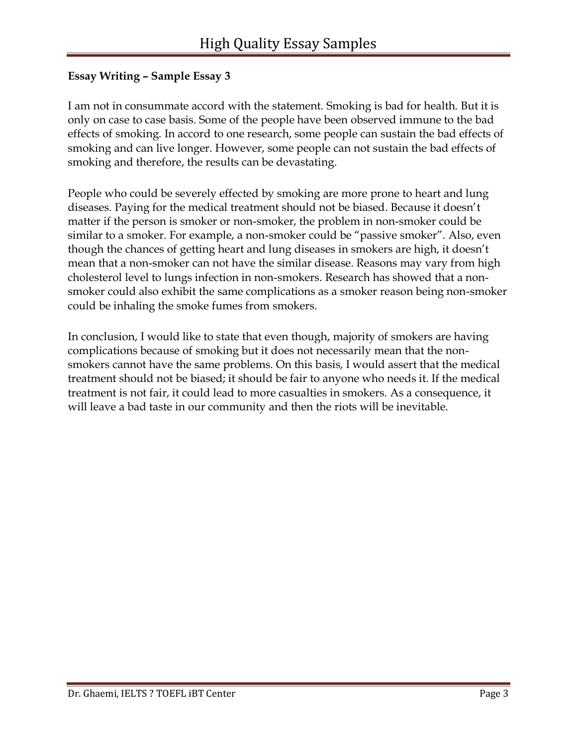I am not in consummate accord with the statement. Smoking is bad for health. But it is only on case to case basis. Some of the people have been observed immune to the bad effects of smoking. In accord to one research, some people can sustain the bad effects of smoking and can live longer. However, some people can not sustain the bad effects of smoking and therefore, the results can be devastating.

People who could be severely effected by smoking are more prone to heart and lung diseases. Paying for the medical treatment should not be biased. Because it doesn't matter if the person is smoker or non-smoker, the problem in non-smoker could be similar to a smoker. For example, a non-smoker could be "passive smoker". Also, even though the chances of getting heart and lung diseases in smokers are high, it doesn't mean that a non-smoker can not have the similar disease. Reasons may vary from high cholesterol level to lungs infection in non-smokers. Research has showed that a nonsmoker could also exhibit the same complications as a smoker reason being non-smoker could be inhaling the smoke fumes from smokers.

In conclusion, I would like to state that even though, majority of smokers are having complications because of smoking but it does not necessarily mean that the nonsmokers cannot have the same problems. On this basis, I would assert that the medical treatment should not be biased; it should be fair to anyone who needs it. If the medical treatment is not fair, it could lead to more casualties in smokers. As a consequence, it will leave a bad taste in our community and then the riots will be inevitable.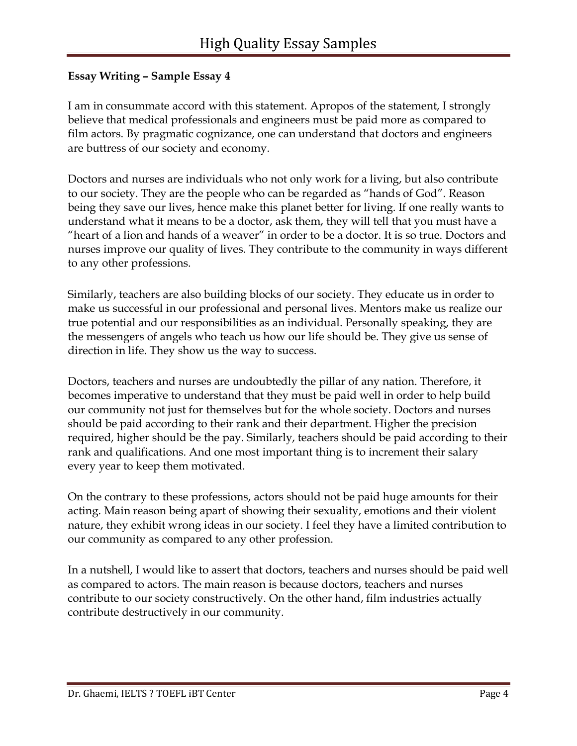I am in consummate accord with this statement. Apropos of the statement, I strongly believe that medical professionals and engineers must be paid more as compared to film actors. By pragmatic cognizance, one can understand that doctors and engineers are buttress of our society and economy.

Doctors and nurses are individuals who not only work for a living, but also contribute to our society. They are the people who can be regarded as "hands of God". Reason being they save our lives, hence make this planet better for living. If one really wants to understand what it means to be a doctor, ask them, they will tell that you must have a "heart of a lion and hands of a weaver" in order to be a doctor. It is so true. Doctors and nurses improve our quality of lives. They contribute to the community in ways different to any other professions.

Similarly, teachers are also building blocks of our society. They educate us in order to make us successful in our professional and personal lives. Mentors make us realize our true potential and our responsibilities as an individual. Personally speaking, they are the messengers of angels who teach us how our life should be. They give us sense of direction in life. They show us the way to success.

Doctors, teachers and nurses are undoubtedly the pillar of any nation. Therefore, it becomes imperative to understand that they must be paid well in order to help build our community not just for themselves but for the whole society. Doctors and nurses should be paid according to their rank and their department. Higher the precision required, higher should be the pay. Similarly, teachers should be paid according to their rank and qualifications. And one most important thing is to increment their salary every year to keep them motivated.

On the contrary to these professions, actors should not be paid huge amounts for their acting. Main reason being apart of showing their sexuality, emotions and their violent nature, they exhibit wrong ideas in our society. I feel they have a limited contribution to our community as compared to any other profession.

In a nutshell, I would like to assert that doctors, teachers and nurses should be paid well as compared to actors. The main reason is because doctors, teachers and nurses contribute to our society constructively. On the other hand, film industries actually contribute destructively in our community.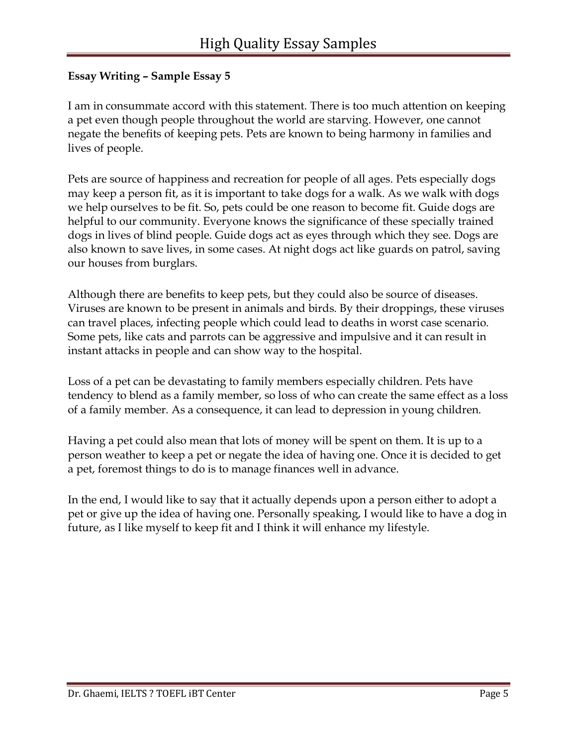I am in consummate accord with this statement. There is too much attention on keeping a pet even though people throughout the world are starving. However, one cannot negate the benefits of keeping pets. Pets are known to being harmony in families and lives of people.

Pets are source of happiness and recreation for people of all ages. Pets especially dogs may keep a person fit, as it is important to take dogs for a walk. As we walk with dogs we help ourselves to be fit. So, pets could be one reason to become fit. Guide dogs are helpful to our community. Everyone knows the significance of these specially trained dogs in lives of blind people. Guide dogs act as eyes through which they see. Dogs are also known to save lives, in some cases. At night dogs act like guards on patrol, saving our houses from burglars.

Although there are benefits to keep pets, but they could also be source of diseases. Viruses are known to be present in animals and birds. By their droppings, these viruses can travel places, infecting people which could lead to deaths in worst case scenario. Some pets, like cats and parrots can be aggressive and impulsive and it can result in instant attacks in people and can show way to the hospital.

Loss of a pet can be devastating to family members especially children. Pets have tendency to blend as a family member, so loss of who can create the same effect as a loss of a family member. As a consequence, it can lead to depression in young children.

Having a pet could also mean that lots of money will be spent on them. It is up to a person weather to keep a pet or negate the idea of having one. Once it is decided to get a pet, foremost things to do is to manage finances well in advance.

In the end, I would like to say that it actually depends upon a person either to adopt a pet or give up the idea of having one. Personally speaking, I would like to have a dog in future, as I like myself to keep fit and I think it will enhance my lifestyle.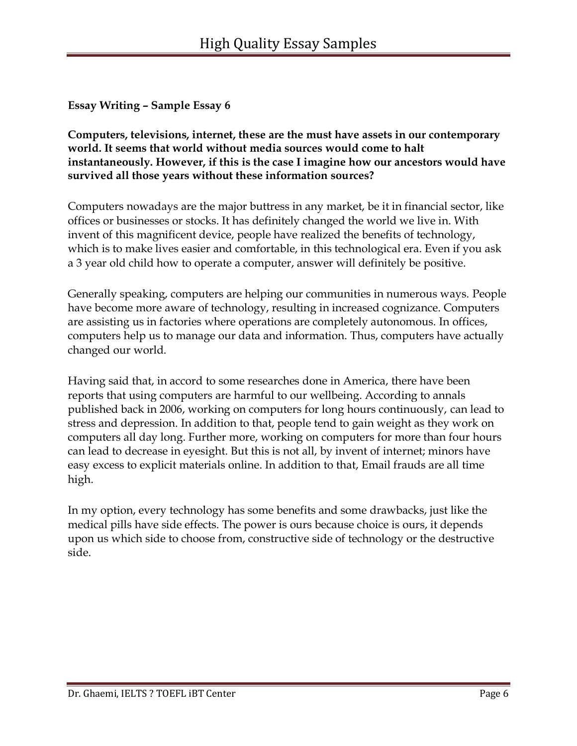**Computers, televisions, internet, these are the must have assets in our contemporary world. It seems that world without media sources would come to halt instantaneously. However, if this is the case I imagine how our ancestors would have survived all those years without these information sources?**

Computers nowadays are the major buttress in any market, be it in financial sector, like offices or businesses or stocks. It has definitely changed the world we live in. With invent of this magnificent device, people have realized the benefits of technology, which is to make lives easier and comfortable, in this technological era. Even if you ask a 3 year old child how to operate a computer, answer will definitely be positive.

Generally speaking, computers are helping our communities in numerous ways. People have become more aware of technology, resulting in increased cognizance. Computers are assisting us in factories where operations are completely autonomous. In offices, computers help us to manage our data and information. Thus, computers have actually changed our world.

Having said that, in accord to some researches done in America, there have been reports that using computers are harmful to our wellbeing. According to annals published back in 2006, working on computers for long hours continuously, can lead to stress and depression. In addition to that, people tend to gain weight as they work on computers all day long. Further more, working on computers for more than four hours can lead to decrease in eyesight. But this is not all, by invent of internet; minors have easy excess to explicit materials online. In addition to that, Email frauds are all time high.

In my option, every technology has some benefits and some drawbacks, just like the medical pills have side effects. The power is ours because choice is ours, it depends upon us which side to choose from, constructive side of technology or the destructive side.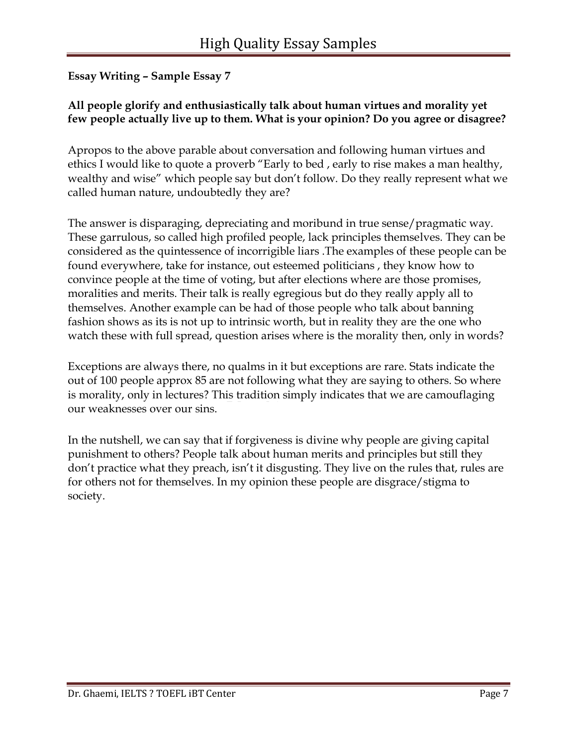## **All people glorify and enthusiastically talk about human virtues and morality yet few people actually live up to them. What is your opinion? Do you agree or disagree?**

Apropos to the above parable about conversation and following human virtues and ethics I would like to quote a proverb "Early to bed , early to rise makes a man healthy, wealthy and wise" which people say but don't follow. Do they really represent what we called human nature, undoubtedly they are?

The answer is disparaging, depreciating and moribund in true sense/pragmatic way. These garrulous, so called high profiled people, lack principles themselves. They can be considered as the quintessence of incorrigible liars .The examples of these people can be found everywhere, take for instance, out esteemed politicians , they know how to convince people at the time of voting, but after elections where are those promises, moralities and merits. Their talk is really egregious but do they really apply all to themselves. Another example can be had of those people who talk about banning fashion shows as its is not up to intrinsic worth, but in reality they are the one who watch these with full spread, question arises where is the morality then, only in words?

Exceptions are always there, no qualms in it but exceptions are rare. Stats indicate the out of 100 people approx 85 are not following what they are saying to others. So where is morality, only in lectures? This tradition simply indicates that we are camouflaging our weaknesses over our sins.

In the nutshell, we can say that if forgiveness is divine why people are giving capital punishment to others? People talk about human merits and principles but still they don't practice what they preach, isn't it disgusting. They live on the rules that, rules are for others not for themselves. In my opinion these people are disgrace/stigma to society.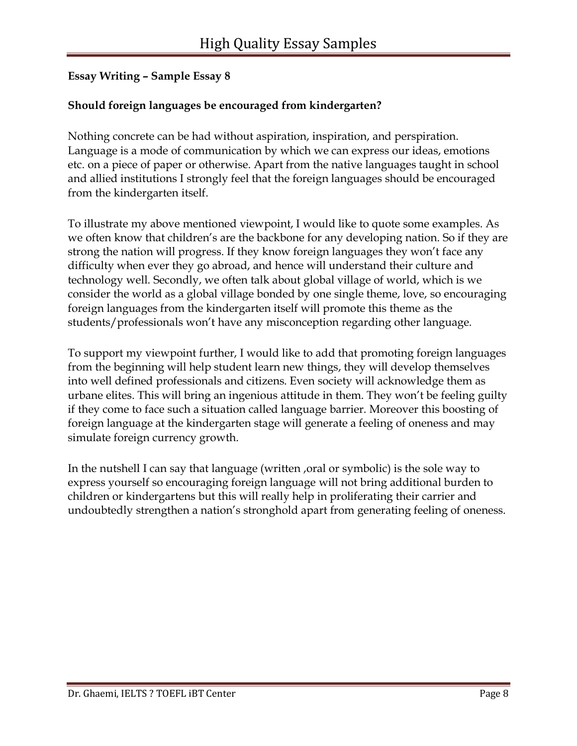#### **Should foreign languages be encouraged from kindergarten?**

Nothing concrete can be had without aspiration, inspiration, and perspiration. Language is a mode of communication by which we can express our ideas, emotions etc. on a piece of paper or otherwise. Apart from the native languages taught in school and allied institutions I strongly feel that the foreign languages should be encouraged from the kindergarten itself.

To illustrate my above mentioned viewpoint, I would like to quote some examples. As we often know that children's are the backbone for any developing nation. So if they are strong the nation will progress. If they know foreign languages they won't face any difficulty when ever they go abroad, and hence will understand their culture and technology well. Secondly, we often talk about global village of world, which is we consider the world as a global village bonded by one single theme, love, so encouraging foreign languages from the kindergarten itself will promote this theme as the students/professionals won't have any misconception regarding other language.

To support my viewpoint further, I would like to add that promoting foreign languages from the beginning will help student learn new things, they will develop themselves into well defined professionals and citizens. Even society will acknowledge them as urbane elites. This will bring an ingenious attitude in them. They won't be feeling guilty if they come to face such a situation called language barrier. Moreover this boosting of foreign language at the kindergarten stage will generate a feeling of oneness and may simulate foreign currency growth.

In the nutshell I can say that language (written , oral or symbolic) is the sole way to express yourself so encouraging foreign language will not bring additional burden to children or kindergartens but this will really help in proliferating their carrier and undoubtedly strengthen a nation's stronghold apart from generating feeling of oneness.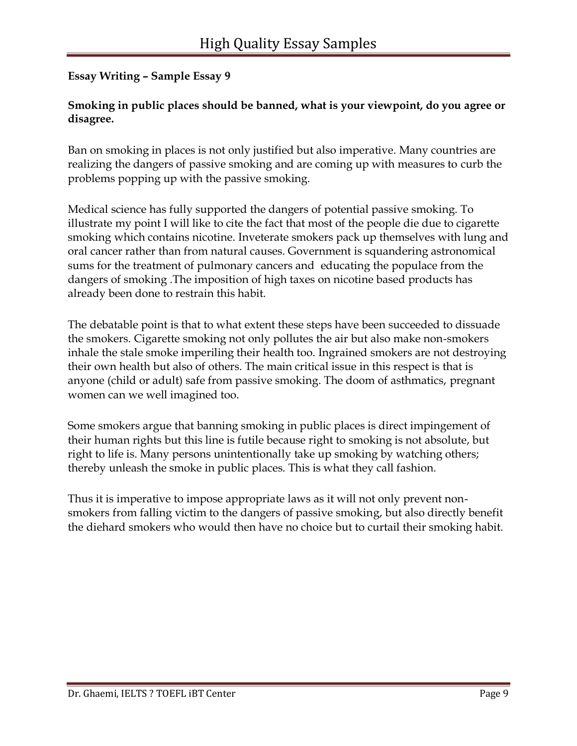#### **Smoking in public places should be banned, what is your viewpoint, do you agree or disagree.**

Ban on smoking in places is not only justified but also imperative. Many countries are realizing the dangers of passive smoking and are coming up with measures to curb the problems popping up with the passive smoking.

Medical science has fully supported the dangers of potential passive smoking. To illustrate my point I will like to cite the fact that most of the people die due to cigarette smoking which contains nicotine. Inveterate smokers pack up themselves with lung and oral cancer rather than from natural causes. Government is squandering astronomical sums for the treatment of pulmonary cancers and educating the populace from the dangers of smoking .The imposition of high taxes on nicotine based products has already been done to restrain this habit.

The debatable point is that to what extent these steps have been succeeded to dissuade the smokers. Cigarette smoking not only pollutes the air but also make non-smokers inhale the stale smoke imperiling their health too. Ingrained smokers are not destroying their own health but also of others. The main critical issue in this respect is that is anyone (child or adult) safe from passive smoking. The doom of asthmatics, pregnant women can we well imagined too.

Some smokers argue that banning smoking in public places is direct impingement of their human rights but this line is futile because right to smoking is not absolute, but right to life is. Many persons unintentionally take up smoking by watching others; thereby unleash the smoke in public places. This is what they call fashion.

Thus it is imperative to impose appropriate laws as it will not only prevent nonsmokers from falling victim to the dangers of passive smoking, but also directly benefit the diehard smokers who would then have no choice but to curtail their smoking habit.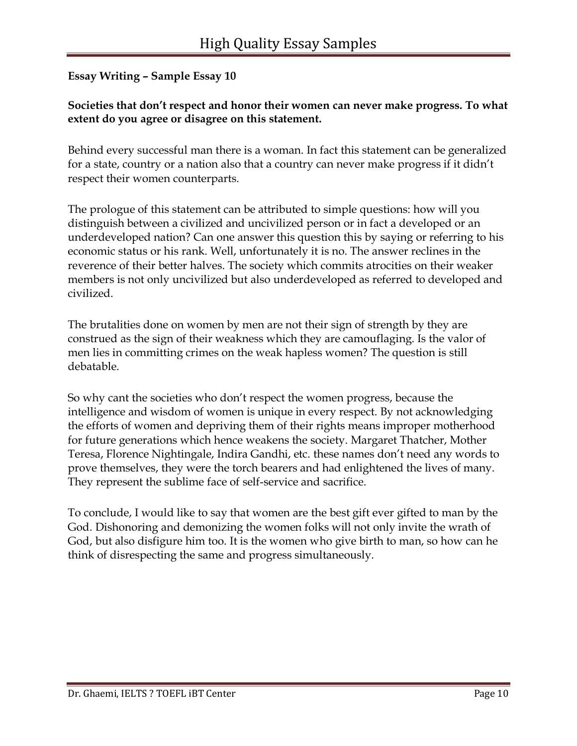#### **Societies that don't respect and honor their women can never make progress. To what extent do you agree or disagree on this statement.**

Behind every successful man there is a woman. In fact this statement can be generalized for a state, country or a nation also that a country can never make progress if it didn't respect their women counterparts.

The prologue of this statement can be attributed to simple questions: how will you distinguish between a civilized and uncivilized person or in fact a developed or an underdeveloped nation? Can one answer this question this by saying or referring to his economic status or his rank. Well, unfortunately it is no. The answer reclines in the reverence of their better halves. The society which commits atrocities on their weaker members is not only uncivilized but also underdeveloped as referred to developed and civilized.

The brutalities done on women by men are not their sign of strength by they are construed as the sign of their weakness which they are camouflaging. Is the valor of men lies in committing crimes on the weak hapless women? The question is still debatable.

So why cant the societies who don't respect the women progress, because the intelligence and wisdom of women is unique in every respect. By not acknowledging the efforts of women and depriving them of their rights means improper motherhood for future generations which hence weakens the society. Margaret Thatcher, Mother Teresa, Florence Nightingale, Indira Gandhi, etc. these names don't need any words to prove themselves, they were the torch bearers and had enlightened the lives of many. They represent the sublime face of self-service and sacrifice.

To conclude, I would like to say that women are the best gift ever gifted to man by the God. Dishonoring and demonizing the women folks will not only invite the wrath of God, but also disfigure him too. It is the women who give birth to man, so how can he think of disrespecting the same and progress simultaneously.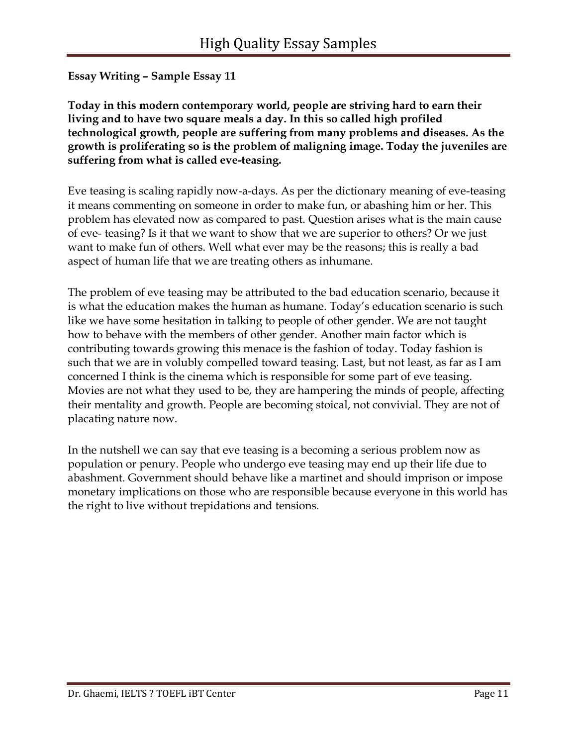**Today in this modern contemporary world, people are striving hard to earn their living and to have two square meals a day. In this so called high profiled technological growth, people are suffering from many problems and diseases. As the growth is proliferating so is the problem of maligning image. Today the juveniles are suffering from what is called eve-teasing.**

Eve teasing is scaling rapidly now-a-days. As per the dictionary meaning of eve-teasing it means commenting on someone in order to make fun, or abashing him or her. This problem has elevated now as compared to past. Question arises what is the main cause of eve- teasing? Is it that we want to show that we are superior to others? Or we just want to make fun of others. Well what ever may be the reasons; this is really a bad aspect of human life that we are treating others as inhumane.

The problem of eve teasing may be attributed to the bad education scenario, because it is what the education makes the human as humane. Today's education scenario is such like we have some hesitation in talking to people of other gender. We are not taught how to behave with the members of other gender. Another main factor which is contributing towards growing this menace is the fashion of today. Today fashion is such that we are in volubly compelled toward teasing. Last, but not least, as far as I am concerned I think is the cinema which is responsible for some part of eve teasing. Movies are not what they used to be, they are hampering the minds of people, affecting their mentality and growth. People are becoming stoical, not convivial. They are not of placating nature now.

In the nutshell we can say that eve teasing is a becoming a serious problem now as population or penury. People who undergo eve teasing may end up their life due to abashment. Government should behave like a martinet and should imprison or impose monetary implications on those who are responsible because everyone in this world has the right to live without trepidations and tensions.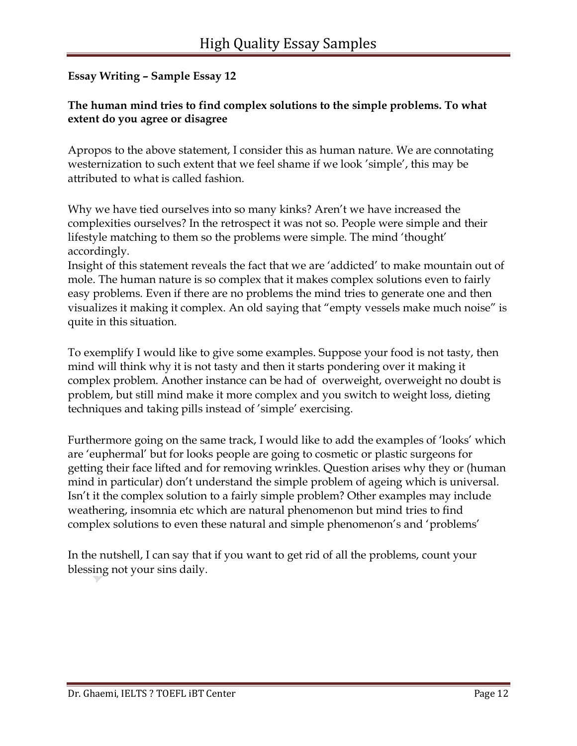## **The human mind tries to find complex solutions to the simple problems. To what extent do you agree or disagree**

Apropos to the above statement, I consider this as human nature. We are connotating westernization to such extent that we feel shame if we look 'simple', this may be attributed to what is called fashion.

Why we have tied ourselves into so many kinks? Aren't we have increased the complexities ourselves? In the retrospect it was not so. People were simple and their lifestyle matching to them so the problems were simple. The mind 'thought' accordingly.

Insight of this statement reveals the fact that we are 'addicted' to make mountain out of mole. The human nature is so complex that it makes complex solutions even to fairly easy problems. Even if there are no problems the mind tries to generate one and then visualizes it making it complex. An old saying that "empty vessels make much noise" is quite in this situation.

To exemplify I would like to give some examples. Suppose your food is not tasty, then mind will think why it is not tasty and then it starts pondering over it making it complex problem. Another instance can be had of overweight, overweight no doubt is problem, but still mind make it more complex and you switch to weight loss, dieting techniques and taking pills instead of 'simple' exercising.

Furthermore going on the same track, I would like to add the examples of 'looks' which are 'euphermal' but for looks people are going to cosmetic or plastic surgeons for getting their face lifted and for removing wrinkles. Question arises why they or (human mind in particular) don't understand the simple problem of ageing which is universal. Isn't it the complex solution to a fairly simple problem? Other examples may include weathering, insomnia etc which are natural phenomenon but mind tries to find complex solutions to even these natural and simple phenomenon's and 'problems'

In the nutshell, I can say that if you want to get rid of all the problems, count your blessing not your sins daily.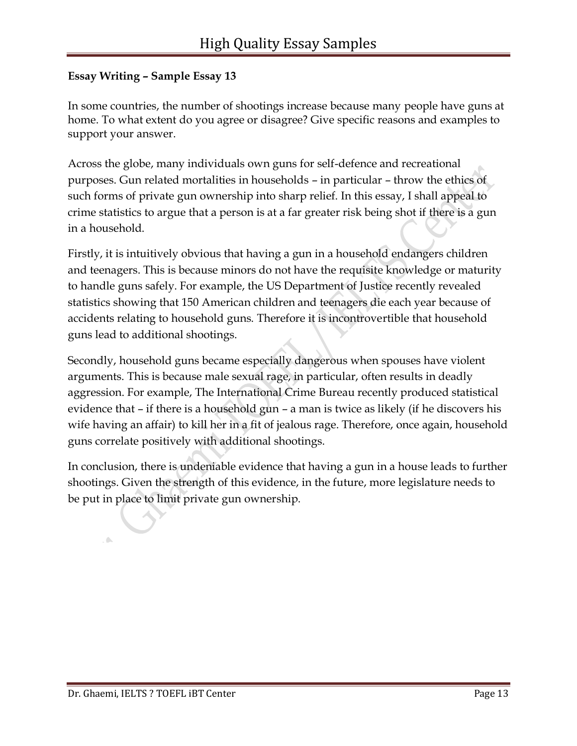In some countries, the number of shootings increase because many people have guns at home. To what extent do you agree or disagree? Give specific reasons and examples to support your answer.

Across the globe, many individuals own guns for self-defence and recreational purposes. Gun related mortalities in households – in particular – throw the ethics of such forms of private gun ownership into sharp relief. In this essay, I shall appeal to crime statistics to argue that a person is at a far greater risk being shot if there is a gun in a household.

Firstly, it is intuitively obvious that having a gun in a household endangers children and teenagers. This is because minors do not have the requisite knowledge or maturity to handle guns safely. For example, the US Department of Justice recently revealed statistics showing that 150 American children and teenagers die each year because of accidents relating to household guns. Therefore it is incontrovertible that household guns lead to additional shootings.

Secondly, household guns became especially dangerous when spouses have violent arguments. This is because male sexual rage, in particular, often results in deadly aggression. For example, The International Crime Bureau recently produced statistical evidence that – if there is a household gun – a man is twice as likely (if he discovers his wife having an affair) to kill her in a fit of jealous rage. Therefore, once again, household guns correlate positively with additional shootings.

In conclusion, there is undeniable evidence that having a gun in a house leads to further shootings. Given the strength of this evidence, in the future, more legislature needs to be put in place to limit private gun ownership.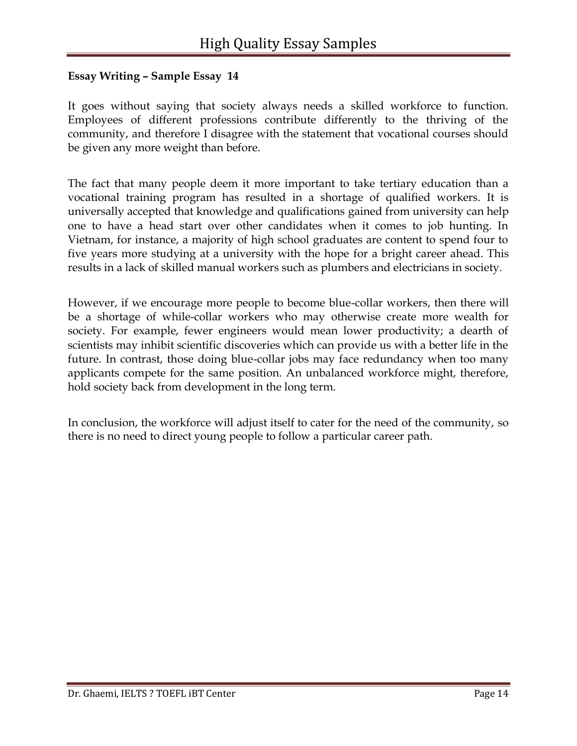It goes without saying that society always needs a skilled workforce to function. Employees of different professions contribute differently to the thriving of the community, and therefore I disagree with the statement that vocational courses should be given any more weight than before.

The fact that many people deem it more important to take tertiary education than a vocational training program has resulted in a shortage of qualified workers. It is universally accepted that knowledge and qualifications gained from university can help one to have a head start over other candidates when it comes to job hunting. In Vietnam, for instance, a majority of high school graduates are content to spend four to five years more studying at a university with the hope for a bright career ahead. This results in a lack of skilled manual workers such as plumbers and electricians in society.

However, if we encourage more people to become blue-collar workers, then there will be a shortage of while-collar workers who may otherwise create more wealth for society. For example, fewer engineers would mean lower productivity; a dearth of scientists may inhibit scientific discoveries which can provide us with a better life in the future. In contrast, those doing blue-collar jobs may face redundancy when too many applicants compete for the same position. An unbalanced workforce might, therefore, hold society back from development in the long term.

In conclusion, the workforce will adjust itself to cater for the need of the community, so there is no need to direct young people to follow a particular career path.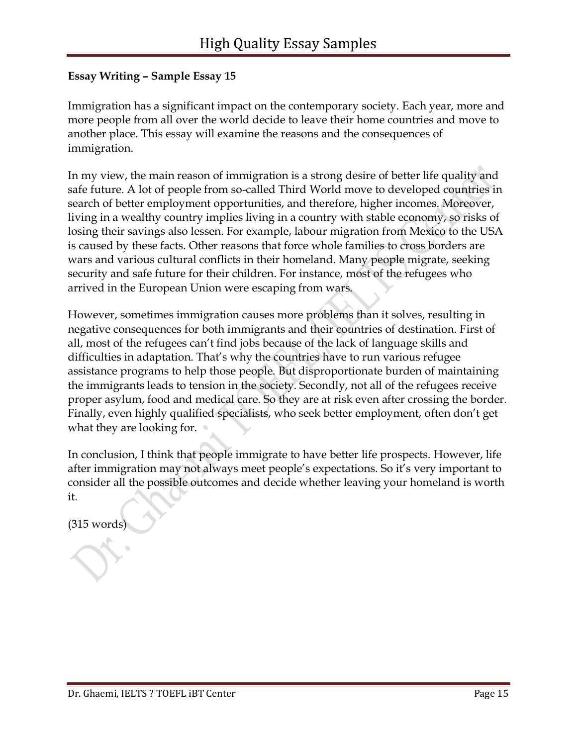Immigration has a significant impact on the contemporary society. Each year, more and more people from all over the world decide to leave their home countries and move to another place. This essay will examine the reasons and the consequences of immigration.

In my view, the main reason of immigration is a strong desire of better life quality and safe future. A lot of people from so-called Third World move to developed countries in search of better employment opportunities, and therefore, higher incomes. Moreover, living in a wealthy country implies living in a country with stable economy, so risks of losing their savings also lessen. For example, labour migration from Mexico to the USA is caused by these facts. Other reasons that force whole families to cross borders are wars and various cultural conflicts in their homeland. Many people migrate, seeking security and safe future for their children. For instance, most of the refugees who arrived in the European Union were escaping from wars.

However, sometimes immigration causes more problems than it solves, resulting in negative consequences for both immigrants and their countries of destination. First of all, most of the refugees can't find jobs because of the lack of language skills and difficulties in adaptation. That's why the countries have to run various refugee assistance programs to help those people. But disproportionate burden of maintaining the immigrants leads to tension in the society. Secondly, not all of the refugees receive proper asylum, food and medical care. So they are at risk even after crossing the border. Finally, even highly qualified specialists, who seek better employment, often don't get what they are looking for.

In conclusion, I think that people immigrate to have better life prospects. However, life after immigration may not always meet people's expectations. So it's very important to consider all the possible outcomes and decide whether leaving your homeland is worth it.

(315 words)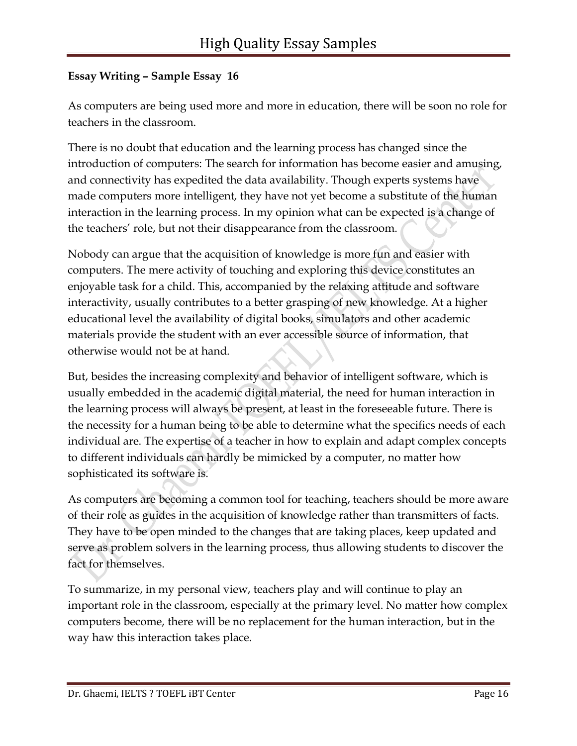As computers are being used more and more in education, there will be soon no role for teachers in the classroom.

There is no doubt that education and the learning process has changed since the introduction of computers: The search for information has become easier and amusing, and connectivity has expedited the data availability. Though experts systems have made computers more intelligent, they have not yet become a substitute of the human interaction in the learning process. In my opinion what can be expected is a change of the teachers' role, but not their disappearance from the classroom.

Nobody can argue that the acquisition of knowledge is more fun and easier with computers. The mere activity of touching and exploring this device constitutes an enjoyable task for a child. This, accompanied by the relaxing attitude and software interactivity, usually contributes to a better grasping of new knowledge. At a higher educational level the availability of digital books, simulators and other academic materials provide the student with an ever accessible source of information, that otherwise would not be at hand.

But, besides the increasing complexity and behavior of intelligent software, which is usually embedded in the academic digital material, the need for human interaction in the learning process will always be present, at least in the foreseeable future. There is the necessity for a human being to be able to determine what the specifics needs of each individual are. The expertise of a teacher in how to explain and adapt complex concepts to different individuals can hardly be mimicked by a computer, no matter how sophisticated its software is.

As computers are becoming a common tool for teaching, teachers should be more aware of their role as guides in the acquisition of knowledge rather than transmitters of facts. They have to be open minded to the changes that are taking places, keep updated and serve as problem solvers in the learning process, thus allowing students to discover the fact for themselves.

To summarize, in my personal view, teachers play and will continue to play an important role in the classroom, especially at the primary level. No matter how complex computers become, there will be no replacement for the human interaction, but in the way haw this interaction takes place.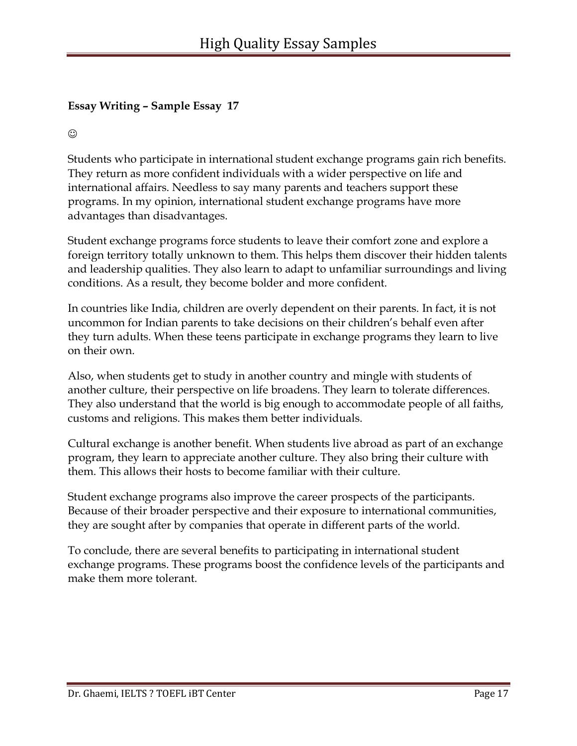$\odot$ 

Students who participate in international student exchange programs gain rich benefits. They return as more confident individuals with a wider perspective on life and international affairs. Needless to say many parents and teachers support these programs. In my opinion, international student exchange programs have more advantages than disadvantages.

Student exchange programs force students to leave their comfort zone and explore a foreign territory totally unknown to them. This helps them discover their hidden talents and leadership qualities. They also learn to adapt to unfamiliar surroundings and living conditions. As a result, they become bolder and more confident.

In countries like India, children are overly dependent on their parents. In fact, it is not uncommon for Indian parents to take decisions on their children's behalf even after they turn adults. When these teens participate in exchange programs they learn to live on their own.

Also, when students get to study in another country and mingle with students of another culture, their perspective on life broadens. They learn to tolerate differences. They also understand that the world is big enough to accommodate people of all faiths, customs and religions. This makes them better individuals.

Cultural exchange is another benefit. When students live abroad as part of an exchange program, they learn to appreciate another culture. They also bring their culture with them. This allows their hosts to become familiar with their culture.

Student exchange programs also improve the career prospects of the participants. Because of their broader perspective and their exposure to international communities, they are sought after by companies that operate in different parts of the world.

To conclude, there are several benefits to participating in international student exchange programs. These programs boost the confidence levels of the participants and make them more tolerant.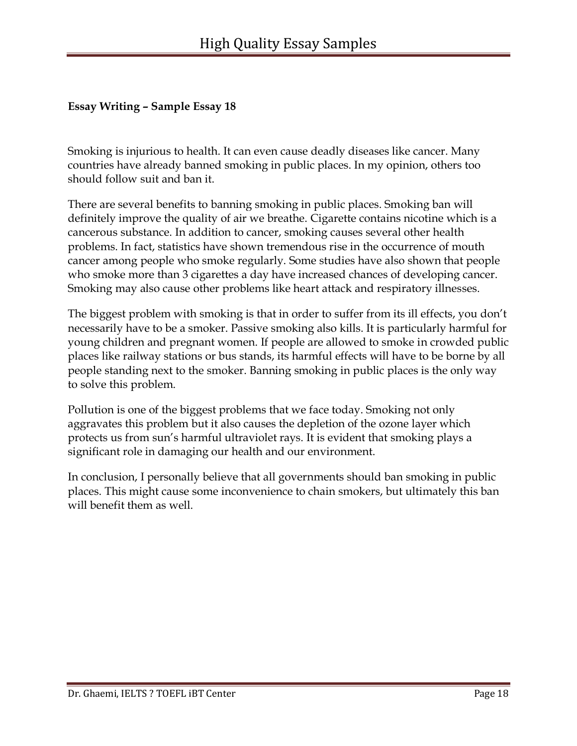Smoking is injurious to health. It can even cause deadly diseases like cancer. Many countries have already banned smoking in public places. In my opinion, others too should follow suit and ban it.

There are several benefits to banning smoking in public places. Smoking ban will definitely improve the quality of air we breathe. Cigarette contains nicotine which is a cancerous substance. In addition to cancer, smoking causes several other health problems. In fact, statistics have shown tremendous rise in the occurrence of mouth cancer among people who smoke regularly. Some studies have also shown that people who smoke more than 3 cigarettes a day have increased chances of developing cancer. Smoking may also cause other problems like heart attack and respiratory illnesses.

The biggest problem with smoking is that in order to suffer from its ill effects, you don't necessarily have to be a smoker. Passive smoking also kills. It is particularly harmful for young children and pregnant women. If people are allowed to smoke in crowded public places like railway stations or bus stands, its harmful effects will have to be borne by all people standing next to the smoker. Banning smoking in public places is the only way to solve this problem.

Pollution is one of the biggest problems that we face today. Smoking not only aggravates this problem but it also causes the depletion of the ozone layer which protects us from sun's harmful ultraviolet rays. It is evident that smoking plays a significant role in damaging our health and our environment.

In conclusion, I personally believe that all governments should ban smoking in public places. This might cause some inconvenience to chain smokers, but ultimately this ban will benefit them as well.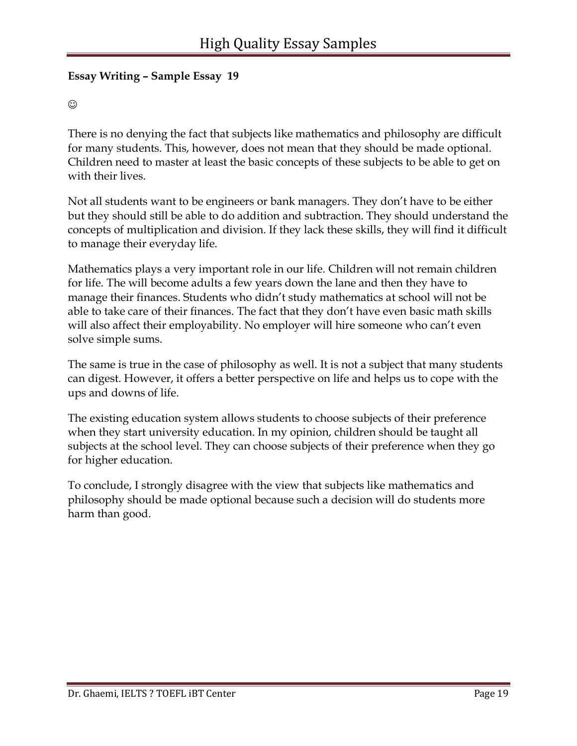### $\odot$

There is no denying the fact that subjects like mathematics and philosophy are difficult for many students. This, however, does not mean that they should be made optional. Children need to master at least the basic concepts of these subjects to be able to get on with their lives.

Not all students want to be engineers or bank managers. They don't have to be either but they should still be able to do addition and subtraction. They should understand the concepts of multiplication and division. If they lack these skills, they will find it difficult to manage their everyday life.

Mathematics plays a very important role in our life. Children will not remain children for life. The will become adults a few years down the lane and then they have to manage their finances. Students who didn't study mathematics at school will not be able to take care of their finances. The fact that they don't have even basic math skills will also affect their employability. No employer will hire someone who can't even solve simple sums.

The same is true in the case of philosophy as well. It is not a subject that many students can digest. However, it offers a better perspective on life and helps us to cope with the ups and downs of life.

The existing education system allows students to choose subjects of their preference when they start university education. In my opinion, children should be taught all subjects at the school level. They can choose subjects of their preference when they go for higher education.

To conclude, I strongly disagree with the view that subjects like mathematics and philosophy should be made optional because such a decision will do students more harm than good.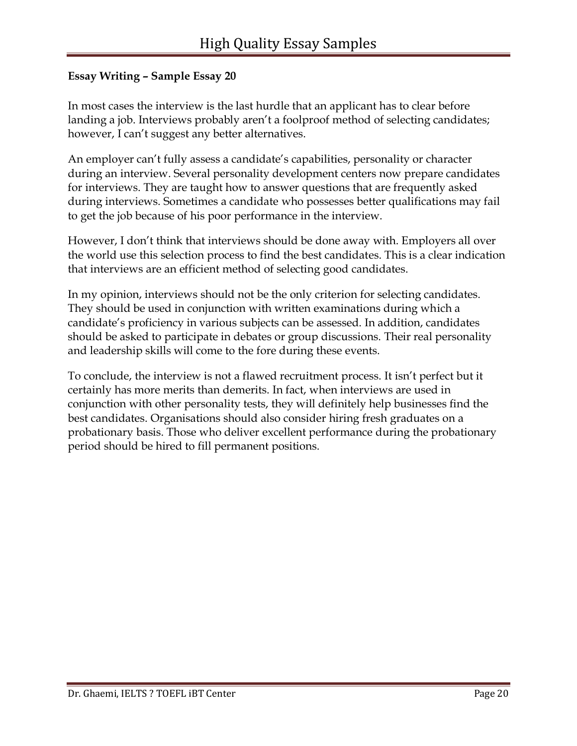In most cases the interview is the last hurdle that an applicant has to clear before landing a job. Interviews probably aren't a foolproof method of selecting candidates; however, I can't suggest any better alternatives.

An employer can't fully assess a candidate's capabilities, personality or character during an interview. Several personality development centers now prepare candidates for interviews. They are taught how to answer questions that are frequently asked during interviews. Sometimes a candidate who possesses better qualifications may fail to get the job because of his poor performance in the interview.

However, I don't think that interviews should be done away with. Employers all over the world use this selection process to find the best candidates. This is a clear indication that interviews are an efficient method of selecting good candidates.

In my opinion, interviews should not be the only criterion for selecting candidates. They should be used in conjunction with written examinations during which a candidate's proficiency in various subjects can be assessed. In addition, candidates should be asked to participate in debates or group discussions. Their real personality and leadership skills will come to the fore during these events.

To conclude, the interview is not a flawed recruitment process. It isn't perfect but it certainly has more merits than demerits. In fact, when interviews are used in conjunction with other personality tests, they will definitely help businesses find the best candidates. Organisations should also consider hiring fresh graduates on a probationary basis. Those who deliver excellent performance during the probationary period should be hired to fill permanent positions.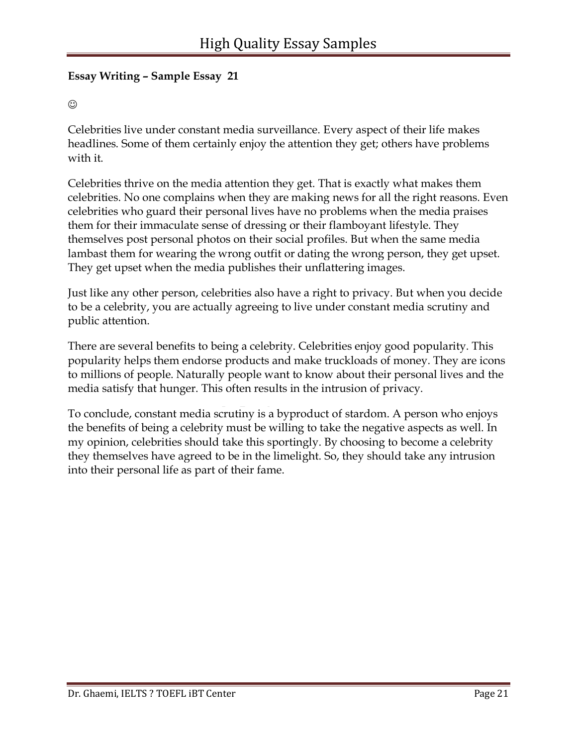#### $\odot$

Celebrities live under constant media surveillance. Every aspect of their life makes headlines. Some of them certainly enjoy the attention they get; others have problems with it.

Celebrities thrive on the media attention they get. That is exactly what makes them celebrities. No one complains when they are making news for all the right reasons. Even celebrities who guard their personal lives have no problems when the media praises them for their immaculate sense of dressing or their flamboyant lifestyle. They themselves post personal photos on their social profiles. But when the same media lambast them for wearing the wrong outfit or dating the wrong person, they get upset. They get upset when the media publishes their unflattering images.

Just like any other person, celebrities also have a right to privacy. But when you decide to be a celebrity, you are actually agreeing to live under constant media scrutiny and public attention.

There are several benefits to being a celebrity. Celebrities enjoy good popularity. This popularity helps them endorse products and make truckloads of money. They are icons to millions of people. Naturally people want to know about their personal lives and the media satisfy that hunger. This often results in the intrusion of privacy.

To conclude, constant media scrutiny is a byproduct of stardom. A person who enjoys the benefits of being a celebrity must be willing to take the negative aspects as well. In my opinion, celebrities should take this sportingly. By choosing to become a celebrity they themselves have agreed to be in the limelight. So, they should take any intrusion into their personal life as part of their fame.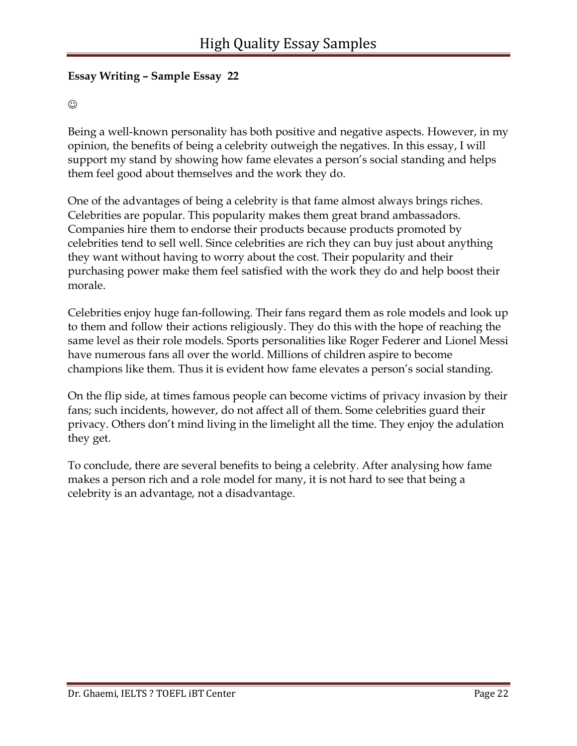#### $\odot$

Being a well-known personality has both positive and negative aspects. However, in my opinion, the benefits of being a celebrity outweigh the negatives. In this essay, I will support my stand by showing how fame elevates a person's social standing and helps them feel good about themselves and the work they do.

One of the advantages of being a celebrity is that fame almost always brings riches. Celebrities are popular. This popularity makes them great brand ambassadors. Companies hire them to endorse their products because products promoted by celebrities tend to sell well. Since celebrities are rich they can buy just about anything they want without having to worry about the cost. Their popularity and their purchasing power make them feel satisfied with the work they do and help boost their morale.

Celebrities enjoy huge fan-following. Their fans regard them as role models and look up to them and follow their actions religiously. They do this with the hope of reaching the same level as their role models. Sports personalities like Roger Federer and Lionel Messi have numerous fans all over the world. Millions of children aspire to become champions like them. Thus it is evident how fame elevates a person's social standing.

On the flip side, at times famous people can become victims of privacy invasion by their fans; such incidents, however, do not affect all of them. Some celebrities guard their privacy. Others don't mind living in the limelight all the time. They enjoy the adulation they get.

To conclude, there are several benefits to being a celebrity. After analysing how fame makes a person rich and a role model for many, it is not hard to see that being a celebrity is an advantage, not a disadvantage.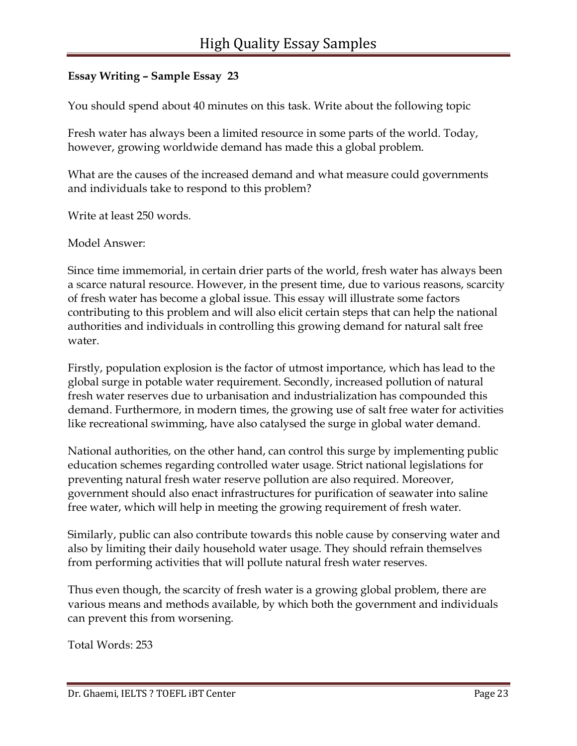You should spend about 40 minutes on this task. Write about the following topic

Fresh water has always been a limited resource in some parts of the world. Today, however, growing worldwide demand has made this a global problem.

What are the causes of the increased demand and what measure could governments and individuals take to respond to this problem?

Write at least 250 words.

Model Answer:

Since time immemorial, in certain drier parts of the world, fresh water has always been a scarce natural resource. However, in the present time, due to various reasons, scarcity of fresh water has become a global issue. This essay will illustrate some factors contributing to this problem and will also elicit certain steps that can help the national authorities and individuals in controlling this growing demand for natural salt free water.

Firstly, population explosion is the factor of utmost importance, which has lead to the global surge in potable water requirement. Secondly, increased pollution of natural fresh water reserves due to urbanisation and industrialization has compounded this demand. Furthermore, in modern times, the growing use of salt free water for activities like recreational swimming, have also catalysed the surge in global water demand.

National authorities, on the other hand, can control this surge by implementing public education schemes regarding controlled water usage. Strict national legislations for preventing natural fresh water reserve pollution are also required. Moreover, government should also enact infrastructures for purification of seawater into saline free water, which will help in meeting the growing requirement of fresh water.

Similarly, public can also contribute towards this noble cause by conserving water and also by limiting their daily household water usage. They should refrain themselves from performing activities that will pollute natural fresh water reserves.

Thus even though, the scarcity of fresh water is a growing global problem, there are various means and methods available, by which both the government and individuals can prevent this from worsening.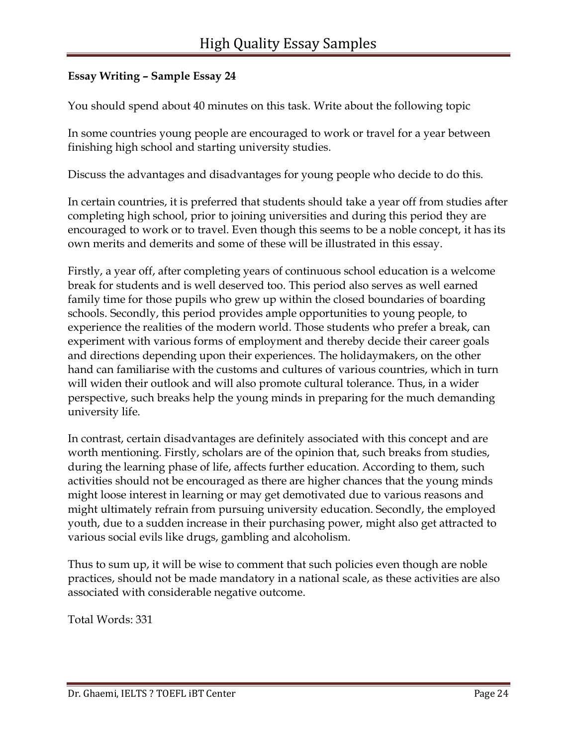You should spend about 40 minutes on this task. Write about the following topic

In some countries young people are encouraged to work or travel for a year between finishing high school and starting university studies.

Discuss the advantages and disadvantages for young people who decide to do this.

In certain countries, it is preferred that students should take a year off from studies after completing high school, prior to joining universities and during this period they are encouraged to work or to travel. Even though this seems to be a noble concept, it has its own merits and demerits and some of these will be illustrated in this essay.

Firstly, a year off, after completing years of continuous school education is a welcome break for students and is well deserved too. This period also serves as well earned family time for those pupils who grew up within the closed boundaries of boarding schools. Secondly, this period provides ample opportunities to young people, to experience the realities of the modern world. Those students who prefer a break, can experiment with various forms of employment and thereby decide their career goals and directions depending upon their experiences. The holidaymakers, on the other hand can familiarise with the customs and cultures of various countries, which in turn will widen their outlook and will also promote cultural tolerance. Thus, in a wider perspective, such breaks help the young minds in preparing for the much demanding university life.

In contrast, certain disadvantages are definitely associated with this concept and are worth mentioning. Firstly, scholars are of the opinion that, such breaks from studies, during the learning phase of life, affects further education. According to them, such activities should not be encouraged as there are higher chances that the young minds might loose interest in learning or may get demotivated due to various reasons and might ultimately refrain from pursuing university education. Secondly, the employed youth, due to a sudden increase in their purchasing power, might also get attracted to various social evils like drugs, gambling and alcoholism.

Thus to sum up, it will be wise to comment that such policies even though are noble practices, should not be made mandatory in a national scale, as these activities are also associated with considerable negative outcome.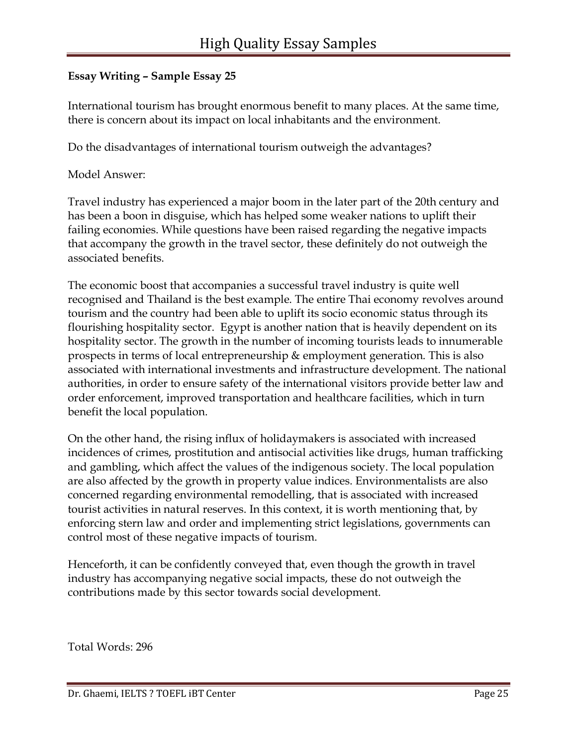International tourism has brought enormous benefit to many places. At the same time, there is concern about its impact on local inhabitants and the environment.

Do the disadvantages of international tourism outweigh the advantages?

Model Answer:

Travel industry has experienced a major boom in the later part of the 20th century and has been a boon in disguise, which has helped some weaker nations to uplift their failing economies. While questions have been raised regarding the negative impacts that accompany the growth in the travel sector, these definitely do not outweigh the associated benefits.

The economic boost that accompanies a successful travel industry is quite well recognised and Thailand is the best example. The entire Thai economy revolves around tourism and the country had been able to uplift its socio economic status through its flourishing hospitality sector. Egypt is another nation that is heavily dependent on its hospitality sector. The growth in the number of incoming tourists leads to innumerable prospects in terms of local entrepreneurship & employment generation. This is also associated with international investments and infrastructure development. The national authorities, in order to ensure safety of the international visitors provide better law and order enforcement, improved transportation and healthcare facilities, which in turn benefit the local population.

On the other hand, the rising influx of holidaymakers is associated with increased incidences of crimes, prostitution and antisocial activities like drugs, human trafficking and gambling, which affect the values of the indigenous society. The local population are also affected by the growth in property value indices. Environmentalists are also concerned regarding environmental remodelling, that is associated with increased tourist activities in natural reserves. In this context, it is worth mentioning that, by enforcing stern law and order and implementing strict legislations, governments can control most of these negative impacts of tourism.

Henceforth, it can be confidently conveyed that, even though the growth in travel industry has accompanying negative social impacts, these do not outweigh the contributions made by this sector towards social development.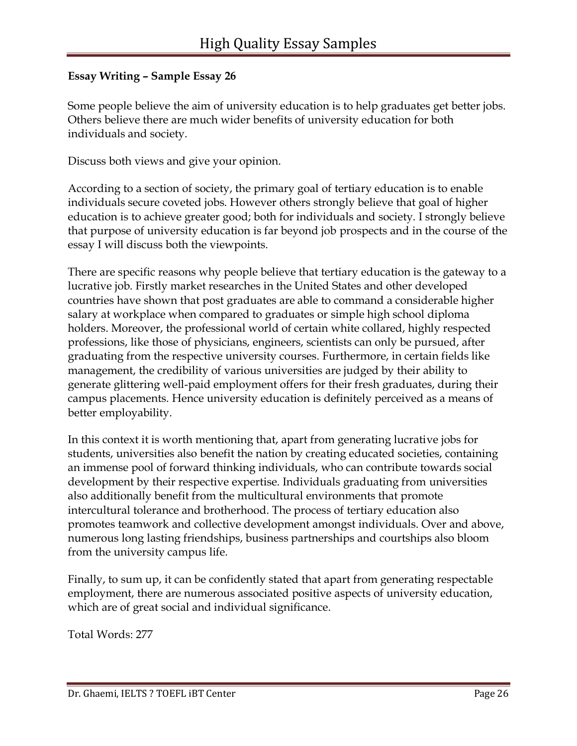Some people believe the aim of university education is to help graduates get better jobs. Others believe there are much wider benefits of university education for both individuals and society.

Discuss both views and give your opinion.

According to a section of society, the primary goal of tertiary education is to enable individuals secure coveted jobs. However others strongly believe that goal of higher education is to achieve greater good; both for individuals and society. I strongly believe that purpose of university education is far beyond job prospects and in the course of the essay I will discuss both the viewpoints.

There are specific reasons why people believe that tertiary education is the gateway to a lucrative job. Firstly market researches in the United States and other developed countries have shown that post graduates are able to command a considerable higher salary at workplace when compared to graduates or simple high school diploma holders. Moreover, the professional world of certain white collared, highly respected professions, like those of physicians, engineers, scientists can only be pursued, after graduating from the respective university courses. Furthermore, in certain fields like management, the credibility of various universities are judged by their ability to generate glittering well-paid employment offers for their fresh graduates, during their campus placements. Hence university education is definitely perceived as a means of better employability.

In this context it is worth mentioning that, apart from generating lucrative jobs for students, universities also benefit the nation by creating educated societies, containing an immense pool of forward thinking individuals, who can contribute towards social development by their respective expertise. Individuals graduating from universities also additionally benefit from the multicultural environments that promote intercultural tolerance and brotherhood. The process of tertiary education also promotes teamwork and collective development amongst individuals. Over and above, numerous long lasting friendships, business partnerships and courtships also bloom from the university campus life.

Finally, to sum up, it can be confidently stated that apart from generating respectable employment, there are numerous associated positive aspects of university education, which are of great social and individual significance.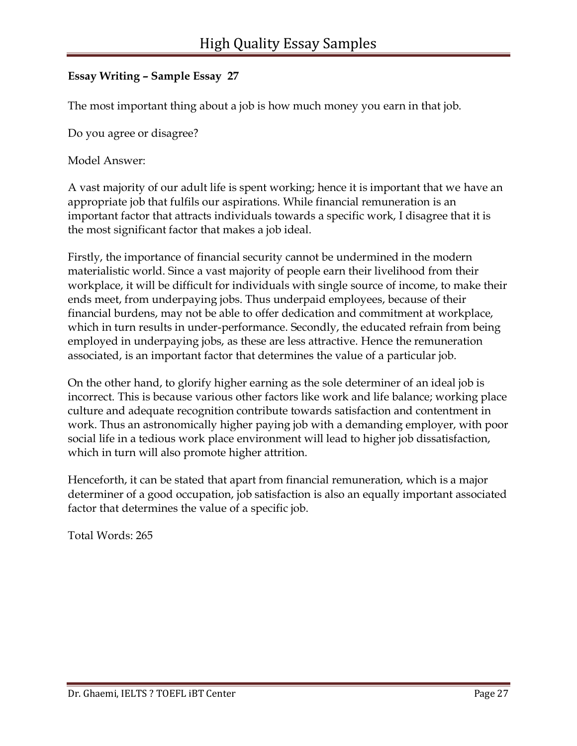The most important thing about a job is how much money you earn in that job.

Do you agree or disagree?

Model Answer:

A vast majority of our adult life is spent working; hence it is important that we have an appropriate job that fulfils our aspirations. While financial remuneration is an important factor that attracts individuals towards a specific work, I disagree that it is the most significant factor that makes a job ideal.

Firstly, the importance of financial security cannot be undermined in the modern materialistic world. Since a vast majority of people earn their livelihood from their workplace, it will be difficult for individuals with single source of income, to make their ends meet, from underpaying jobs. Thus underpaid employees, because of their financial burdens, may not be able to offer dedication and commitment at workplace, which in turn results in under-performance. Secondly, the educated refrain from being employed in underpaying jobs, as these are less attractive. Hence the remuneration associated, is an important factor that determines the value of a particular job.

On the other hand, to glorify higher earning as the sole determiner of an ideal job is incorrect. This is because various other factors like work and life balance; working place culture and adequate recognition contribute towards satisfaction and contentment in work. Thus an astronomically higher paying job with a demanding employer, with poor social life in a tedious work place environment will lead to higher job dissatisfaction, which in turn will also promote higher attrition.

Henceforth, it can be stated that apart from financial remuneration, which is a major determiner of a good occupation, job satisfaction is also an equally important associated factor that determines the value of a specific job.